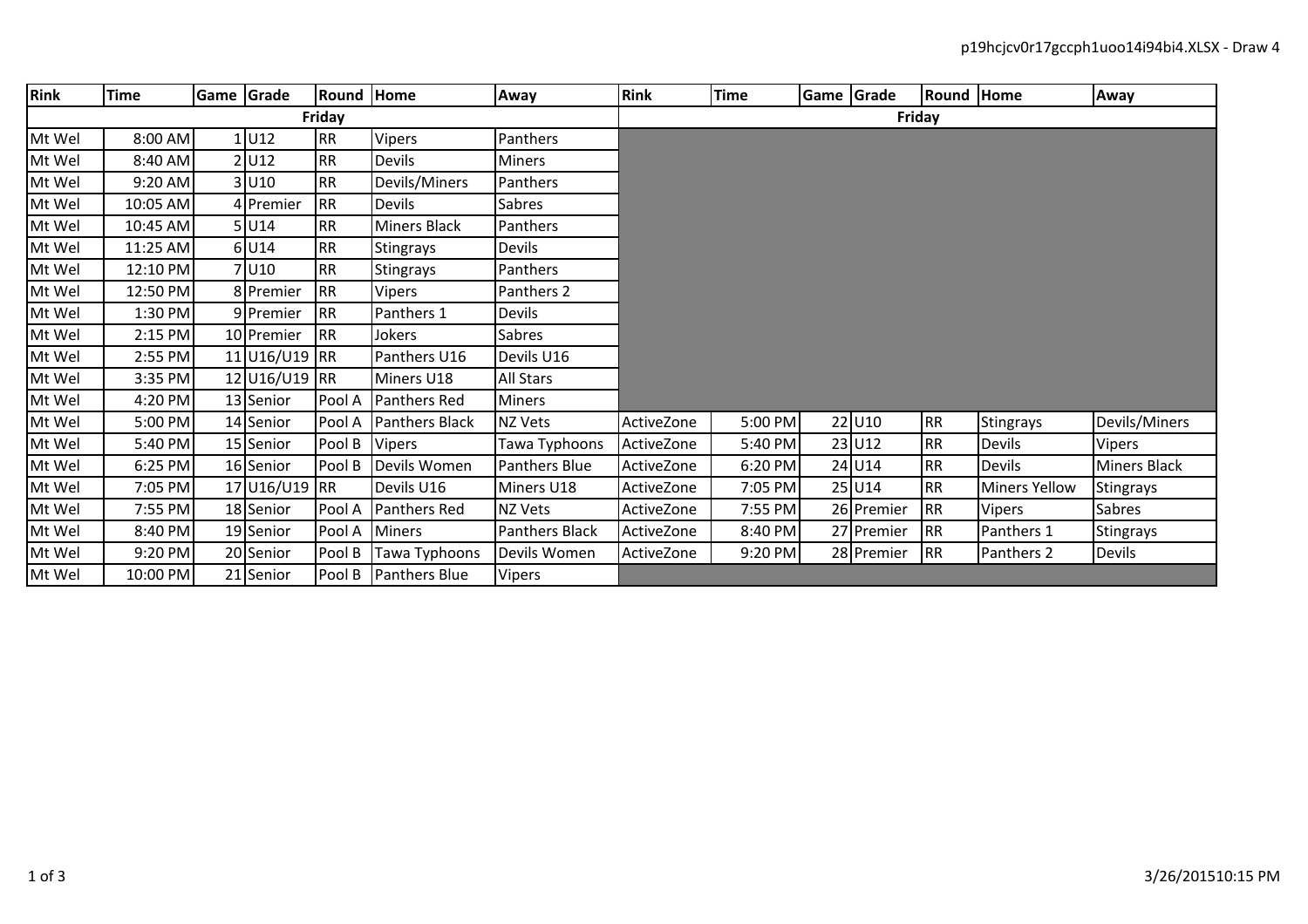| <b>Rink</b> | <b>Time</b> |  | Game Grade    | Round Home |                  | Away                  | <b>Rink</b> | <b>Time</b> | Game Grade |            | Round Home |                      | Away                |  |  |
|-------------|-------------|--|---------------|------------|------------------|-----------------------|-------------|-------------|------------|------------|------------|----------------------|---------------------|--|--|
| Friday      |             |  |               |            |                  |                       | Friday      |             |            |            |            |                      |                     |  |  |
| Mt Wel      | $8:00$ AM   |  | 1 U12         | <b>RR</b>  | <b>Vipers</b>    | Panthers              |             |             |            |            |            |                      |                     |  |  |
| Mt Wel      | 8:40 AM     |  | 2 U12         | <b>RR</b>  | Devils           | Miners                |             |             |            |            |            |                      |                     |  |  |
| Mt Wel      | $9:20$ AM   |  | 3 U10         | RR         | Devils/Miners    | Panthers              |             |             |            |            |            |                      |                     |  |  |
| Mt Wel      | 10:05 AM    |  | 4 Premier     | <b>RR</b>  | Devils           | Sabres                |             |             |            |            |            |                      |                     |  |  |
| Mt Wel      | 10:45 AM    |  | 5 U14         | RR         | Miners Black     | Panthers              |             |             |            |            |            |                      |                     |  |  |
| Mt Wel      | 11:25 AM    |  | $6$ U14       | <b>RR</b>  | <b>Stingrays</b> | Devils                |             |             |            |            |            |                      |                     |  |  |
| Mt Wel      | 12:10 PM    |  | 7 U10         | <b>RR</b>  | <b>Stingrays</b> | Panthers              |             |             |            |            |            |                      |                     |  |  |
| Mt Wel      | 12:50 PM    |  | 8 Premier     | <b>RR</b>  | <b>Vipers</b>    | Panthers 2            |             |             |            |            |            |                      |                     |  |  |
| Mt Wel      | 1:30 PM     |  | 9 Premier     | <b>RR</b>  | Panthers 1       | Devils                |             |             |            |            |            |                      |                     |  |  |
| Mt Wel      | 2:15 PM     |  | 10 Premier    | <b>RR</b>  | Jokers           | Sabres                |             |             |            |            |            |                      |                     |  |  |
| Mt Wel      | 2:55 PM     |  | 11 U16/U19 RR |            | Panthers U16     | Devils U16            |             |             |            |            |            |                      |                     |  |  |
| Mt Wel      | 3:35 PM     |  | 12 U16/U19 RR |            | Miners U18       | <b>All Stars</b>      |             |             |            |            |            |                      |                     |  |  |
| Mt Wel      | 4:20 PM     |  | 13 Senior     | Pool A     | Panthers Red     | Miners                |             |             |            |            |            |                      |                     |  |  |
| Mt Wel      | 5:00 PM     |  | 14 Senior     | Pool A     | Panthers Black   | NZ Vets               | ActiveZone  | 5:00 PM     |            | 22 U10     | <b>RR</b>  | Stingrays            | Devils/Miners       |  |  |
| Mt Wel      | 5:40 PM     |  | 15 Senior     | Pool B     | <b>Vipers</b>    | Tawa Typhoons         | ActiveZone  | 5:40 PM     |            | 23 U12     | <b>RR</b>  | <b>Devils</b>        | Vipers              |  |  |
| Mt Wel      | 6:25 PM     |  | 16 Senior     | Pool B     | Devils Women     | Panthers Blue         | ActiveZone  | 6:20 PM     |            | 24 U14     | <b>RR</b>  | <b>Devils</b>        | <b>Miners Black</b> |  |  |
| Mt Wel      | 7:05 PM     |  | 17 U16/U19 RR |            | Devils U16       | Miners U18            | ActiveZone  | 7:05 PM     |            | 25 U14     | <b>RR</b>  | <b>Miners Yellow</b> | Stingrays           |  |  |
| Mt Wel      | 7:55 PM     |  | 18 Senior     | Pool A     | Panthers Red     | <b>NZ Vets</b>        | ActiveZone  | 7:55 PM     |            | 26 Premier | <b>RR</b>  | <b>Vipers</b>        | Sabres              |  |  |
| Mt Wel      | 8:40 PM     |  | 19 Senior     | Pool A     | <b>Miners</b>    | <b>Panthers Black</b> | ActiveZone  | 8:40 PM     |            | 27 Premier | <b>RR</b>  | Panthers 1           | Stingrays           |  |  |
| Mt Wel      | 9:20 PM     |  | 20 Senior     | Pool B     | Tawa Typhoons    | Devils Women          | ActiveZone  | 9:20 PM     |            | 28 Premier | <b>RR</b>  | Panthers 2           | <b>Devils</b>       |  |  |
| Mt Wel      | 10:00 PM    |  | 21 Senior     | Pool B     | Panthers Blue    | Vipers                |             |             |            |            |            |                      |                     |  |  |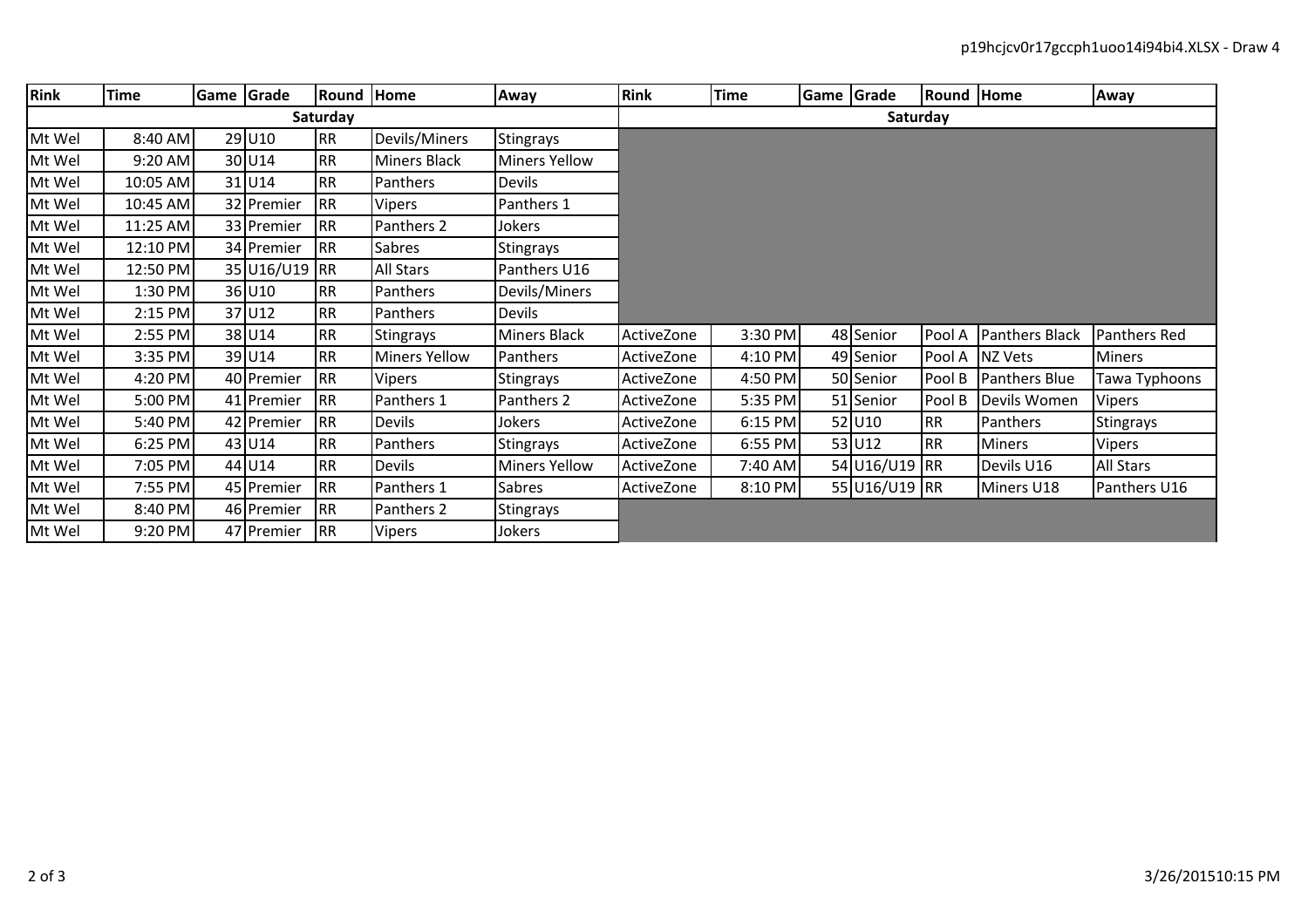| Rink     | <b>Time</b> | Game Grade |                    | Round Home |                      | Away                 | <b>Rink</b> | <b>Time</b> | Game Grade |               | <b>Round Home</b> |                | Away          |  |  |  |
|----------|-------------|------------|--------------------|------------|----------------------|----------------------|-------------|-------------|------------|---------------|-------------------|----------------|---------------|--|--|--|
| Saturday |             |            |                    |            |                      |                      |             | Saturday    |            |               |                   |                |               |  |  |  |
| Mt Wel   | 8:40 AM     |            | 29 U10             | <b>RR</b>  | Devils/Miners        | Stingrays            |             |             |            |               |                   |                |               |  |  |  |
| Mt Wel   | 9:20 AM     |            | 30 U <sub>14</sub> | <b>RR</b>  | <b>Miners Black</b>  | <b>Miners Yellow</b> |             |             |            |               |                   |                |               |  |  |  |
| Mt Wel   | 10:05 AM    |            | 31 U14             | <b>RR</b>  | Panthers             | <b>Devils</b>        |             |             |            |               |                   |                |               |  |  |  |
| Mt Wel   | 10:45 AM    |            | 32 Premier         | <b>RR</b>  | <b>Vipers</b>        | Panthers 1           |             |             |            |               |                   |                |               |  |  |  |
| Mt Wel   | 11:25 AM    |            | 33 Premier         | <b>RR</b>  | Panthers 2           | Jokers               |             |             |            |               |                   |                |               |  |  |  |
| Mt Wel   | 12:10 PM    |            | 34 Premier         | RR         | <b>Sabres</b>        | <b>Stingrays</b>     |             |             |            |               |                   |                |               |  |  |  |
| Mt Wel   | 12:50 PM    |            | 35 U16/U19 RR      |            | <b>All Stars</b>     | Panthers U16         |             |             |            |               |                   |                |               |  |  |  |
| Mt Wel   | 1:30 PM     |            | 36 U10             | <b>RR</b>  | Panthers             | Devils/Miners        |             |             |            |               |                   |                |               |  |  |  |
| Mt Wel   | 2:15 PM     |            | 37 U12             | <b>RR</b>  | Panthers             | <b>Devils</b>        |             |             |            |               |                   |                |               |  |  |  |
| Mt Wel   | 2:55 PM     |            | 38 U14             | <b>RR</b>  | Stingrays            | <b>Miners Black</b>  | ActiveZone  | 3:30 PM     |            | 48 Senior     | Pool A            | Panthers Black | Panthers Red  |  |  |  |
| Mt Wel   | 3:35 PM     |            | 39 U14             | <b>RR</b>  | <b>Miners Yellow</b> | Panthers             | ActiveZone  | 4:10 PM     |            | 49 Senior     | Pool A            | NZ Vets        | <b>Miners</b> |  |  |  |
| Mt Wel   | 4:20 PM     |            | 40 Premier         | <b>RR</b>  | <b>Vipers</b>        | Stingrays            | ActiveZone  | 4:50 PM     |            | 50 Senior     | Pool B            | Panthers Blue  | Tawa Typhoons |  |  |  |
| Mt Wel   | 5:00 PM     |            | 41 Premier         | <b>RR</b>  | Panthers 1           | Panthers 2           | ActiveZone  | 5:35 PM     |            | 51 Senior     | Pool B            | Devils Women   | Vipers        |  |  |  |
| Mt Wel   | 5:40 PM     |            | 42 Premier         | <b>RR</b>  | <b>Devils</b>        | Jokers               | ActiveZone  | $6:15$ PM   |            | 52 U10        | <b>RR</b>         | Panthers       | Stingrays     |  |  |  |
| Mt Wel   | 6:25 PM     |            | 43 U14             | <b>RR</b>  | Panthers             | <b>Stingrays</b>     | ActiveZone  | 6:55 PM     |            | 53 U12        | <b>RR</b>         | <b>Miners</b>  | Vipers        |  |  |  |
| Mt Wel   | 7:05 PM     |            | 44 U14             | <b>RR</b>  | Devils               | <b>Miners Yellow</b> | ActiveZone  | 7:40 AM     |            | 54 U16/U19 RR |                   | Devils U16     | All Stars     |  |  |  |
| Mt Wel   | 7:55 PM     |            | 45 Premier         | <b>RR</b>  | Panthers 1           | <b>Sabres</b>        | ActiveZone  | 8:10 PM     |            | 55 U16/U19 RR |                   | Miners U18     | Panthers U16  |  |  |  |
| Mt Wel   | 8:40 PM     |            | 46 Premier         | RR         | Panthers 2           | Stingrays            |             |             |            |               |                   |                |               |  |  |  |
| Mt Wel   | 9:20 PM     |            | 47 Premier         | <b>RR</b>  | <b>Vipers</b>        | Jokers               |             |             |            |               |                   |                |               |  |  |  |